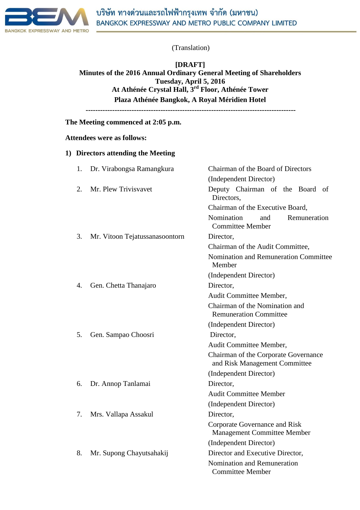

**[DRAFT] Minutes of the 2016 Annual Ordinary General Meeting of Shareholders Tuesday, April 5, 2016 At Athénée Crystal Hall, 3rd Floor, Athénée Tower Plaza Athénée Bangkok, A Royal Méridien Hotel**

**---------------------------------------------------------------------------------------**

**The Meeting commenced at 2:05 p.m.**

## **Attendees were as follows:**

#### **1) Directors attending the Meeting**

| 1. | Dr. Virabongsa Ramangkura      | Chairman of the Board of Directors                                    |
|----|--------------------------------|-----------------------------------------------------------------------|
|    |                                | (Independent Director)                                                |
| 2. | Mr. Plew Trivisvavet           | Deputy Chairman of the Board of<br>Directors,                         |
|    |                                | Chairman of the Executive Board,                                      |
|    |                                | Nomination<br>and<br>Remuneration<br><b>Committee Member</b>          |
| 3. | Mr. Vitoon Tejatussanasoontorn | Director,                                                             |
|    |                                | Chairman of the Audit Committee,                                      |
|    |                                | Nomination and Remuneration Committee<br>Member                       |
|    |                                | (Independent Director)                                                |
| 4. | Gen. Chetta Thanajaro          | Director,                                                             |
|    |                                | Audit Committee Member,                                               |
|    |                                | Chairman of the Nomination and<br><b>Remuneration Committee</b>       |
|    |                                | (Independent Director)                                                |
| 5. | Gen. Sampao Choosri            | Director,                                                             |
|    |                                | Audit Committee Member,                                               |
|    |                                | Chairman of the Corporate Governance<br>and Risk Management Committee |
|    |                                | (Independent Director)                                                |
| 6. | Dr. Annop Tanlamai             | Director,                                                             |
|    |                                | <b>Audit Committee Member</b>                                         |
|    |                                | (Independent Director)                                                |
| 7. | Mrs. Vallapa Assakul           | Director,                                                             |
|    |                                | Corporate Governance and Risk<br><b>Management Committee Member</b>   |
|    |                                | (Independent Director)                                                |
| 8. | Mr. Supong Chayutsahakij       | Director and Executive Director,                                      |
|    |                                | Nomination and Remuneration<br><b>Committee Member</b>                |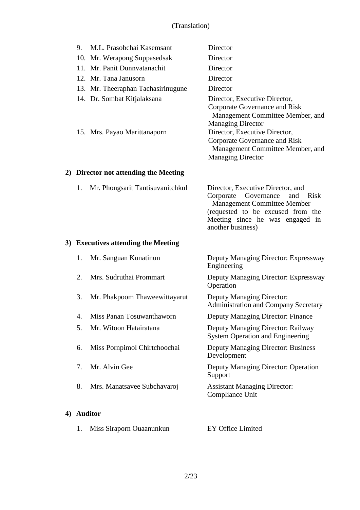| 9. | M.L. Prasobchai Kasemsant          | Director                                                          |
|----|------------------------------------|-------------------------------------------------------------------|
|    | 10. Mr. Werapong Suppasedsak       | Director                                                          |
|    | 11. Mr. Panit Dunnyatanachit       | Director                                                          |
|    | 12. Mr. Tana Janusorn              | Director                                                          |
|    | 13. Mr. Theeraphan Tachasirinugune | Director                                                          |
|    | 14. Dr. Sombat Kitjalaksana        | Director, Executive Director,                                     |
|    |                                    | Corporate Governance and Risk<br>Management Committee Member, and |
|    |                                    | <b>Managing Director</b>                                          |
|    | 15. Mrs. Payao Marittanaporn       | Director, Executive Director,                                     |
|    |                                    | Corporate Governance and Risk                                     |
|    |                                    | Management Committee Member, and                                  |
|    |                                    | <b>Managing Director</b>                                          |

# **2) Director not attending the Meeting**

| 1. Mr. Phongsarit Tantisuvanitchkul | Director, Executive Director, and  |  |  |
|-------------------------------------|------------------------------------|--|--|
|                                     | Corporate Governance and Risk      |  |  |
|                                     | <b>Management Committee Member</b> |  |  |
|                                     | (requested to be excused from the  |  |  |
|                                     | Meeting since he was engaged in    |  |  |
|                                     | another business)                  |  |  |

## **3) Executives attending the Meeting**

**4) Auditor**

| 1. | Mr. Sanguan Kunatinun         | Deputy Managing Director: Expressway<br>Engineering                          |
|----|-------------------------------|------------------------------------------------------------------------------|
| 2. | Mrs. Sudruthai Prommart       | Deputy Managing Director: Expressway<br>Operation                            |
| 3. | Mr. Phakpoom Thaweewittayarut | Deputy Managing Director:<br><b>Administration and Company Secretary</b>     |
| 4. | Miss Panan Tosuwanthaworn     | Deputy Managing Director: Finance                                            |
| 5. | Mr. Witoon Hatairatana        | Deputy Managing Director: Railway<br><b>System Operation and Engineering</b> |
| 6. | Miss Pornpimol Chirtchoochai  | <b>Deputy Managing Director: Business</b><br>Development                     |
| 7. | Mr. Alvin Gee                 | <b>Deputy Managing Director: Operation</b><br>Support                        |
| 8. | Mrs. Manatsavee Subchavaroj   | <b>Assistant Managing Director:</b><br>Compliance Unit                       |
|    | <b>Auditor</b>                |                                                                              |
| 1. | Miss Siraporn Ouaanunkun      | <b>EY Office Limited</b>                                                     |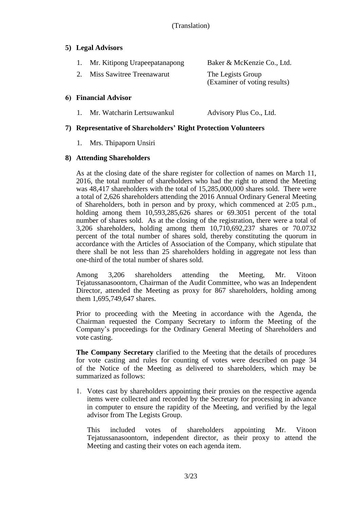## **5) Legal Advisors**

| 1. Mr. Kitipong Urapeepatanapong | Baker & McKenzie Co., Ltd.                        |
|----------------------------------|---------------------------------------------------|
| Miss Sawitree Treenawarut        | The Legists Group<br>(Examiner of voting results) |

## **6) Financial Advisor**

1. Mr. Watcharin Lertsuwankul Advisory Plus Co., Ltd.

## **7) Representative of Shareholders' Right Protection Volunteers**

1. Mrs. Thipaporn Unsiri

## **8) Attending Shareholders**

As at the closing date of the share register for collection of names on March 11, 2016, the total number of shareholders who had the right to attend the Meeting was 48,417 shareholders with the total of 15,285,000,000 shares sold. There were a total of 2,626 shareholders attending the 2016 Annual Ordinary General Meeting of Shareholders, both in person and by proxy, which commenced at 2:05 p.m., holding among them 10,593,285,626 shares or 69.3051 percent of the total number of shares sold. As at the closing of the registration, there were a total of 3,206 shareholders, holding among them 10,710,692,237 shares or 70.0732 percent of the total number of shares sold, thereby constituting the quorum in accordance with the Articles of Association of the Company, which stipulate that there shall be not less than 25 shareholders holding in aggregate not less than one-third of the total number of shares sold.

Among 3,206 shareholders attending the Meeting, Mr. Vitoon Tejatussanasoontorn, Chairman of the Audit Committee, who was an Independent Director, attended the Meeting as proxy for 867 shareholders, holding among them 1,695,749,647 shares.

Prior to proceeding with the Meeting in accordance with the Agenda, the Chairman requested the Company Secretary to inform the Meeting of the Company's proceedings for the Ordinary General Meeting of Shareholders and vote casting.

**The Company Secretary** clarified to the Meeting that the details of procedures for vote casting and rules for counting of votes were described on page 34 of the Notice of the Meeting as delivered to shareholders, which may be summarized as follows:

1. Votes cast by shareholders appointing their proxies on the respective agenda items were collected and recorded by the Secretary for processing in advance in computer to ensure the rapidity of the Meeting, and verified by the legal advisor from The Legists Group.

This included votes of shareholders appointing Mr. Vitoon Tejatussanasoontorn, independent director, as their proxy to attend the Meeting and casting their votes on each agenda item.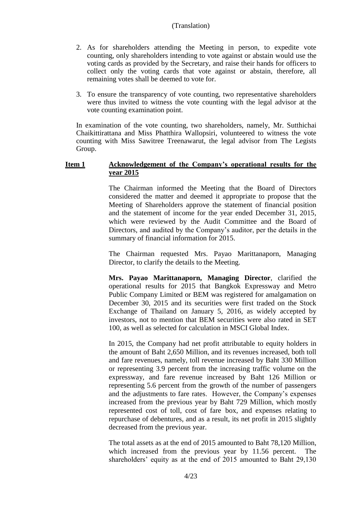- 2. As for shareholders attending the Meeting in person, to expedite vote counting, only shareholders intending to vote against or abstain would use the voting cards as provided by the Secretary, and raise their hands for officers to collect only the voting cards that vote against or abstain, therefore, all remaining votes shall be deemed to vote for.
- 3. To ensure the transparency of vote counting, two representative shareholders were thus invited to witness the vote counting with the legal advisor at the vote counting examination point.

In examination of the vote counting, two shareholders, namely, Mr. Sutthichai Chaikittirattana and Miss Phatthira Wallopsiri, volunteered to witness the vote counting with Miss Sawitree Treenawarut, the legal advisor from The Legists Group.

## **Item 1 Acknowledgement of the Company's operational results for the year 2015**

The Chairman informed the Meeting that the Board of Directors considered the matter and deemed it appropriate to propose that the Meeting of Shareholders approve the statement of financial position and the statement of income for the year ended December 31, 2015, which were reviewed by the Audit Committee and the Board of Directors, and audited by the Company's auditor, per the details in the summary of financial information for 2015.

The Chairman requested Mrs. Payao Marittanaporn, Managing Director, to clarify the details to the Meeting.

**Mrs. Payao Marittanaporn, Managing Director**, clarified the operational results for 2015 that Bangkok Expressway and Metro Public Company Limited or BEM was registered for amalgamation on December 30, 2015 and its securities were first traded on the Stock Exchange of Thailand on January 5, 2016, as widely accepted by investors, not to mention that BEM securities were also rated in SET 100, as well as selected for calculation in MSCI Global Index.

In 2015, the Company had net profit attributable to equity holders in the amount of Baht 2,650 Million, and its revenues increased, both toll and fare revenues, namely, toll revenue increased by Baht 330 Million or representing 3.9 percent from the increasing traffic volume on the expressway, and fare revenue increased by Baht 126 Million or representing 5.6 percent from the growth of the number of passengers and the adjustments to fare rates. However, the Company's expenses increased from the previous year by Baht 729 Million, which mostly represented cost of toll, cost of fare box, and expenses relating to repurchase of debentures, and as a result, its net profit in 2015 slightly decreased from the previous year.

The total assets as at the end of 2015 amounted to Baht 78,120 Million, which increased from the previous year by 11.56 percent. The shareholders' equity as at the end of 2015 amounted to Baht 29,130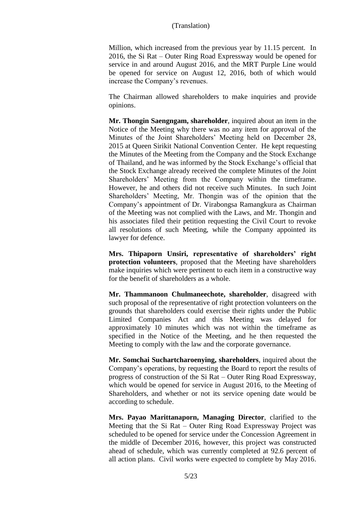Million, which increased from the previous year by 11.15 percent. In 2016, the Si Rat – Outer Ring Road Expressway would be opened for service in and around August 2016, and the MRT Purple Line would be opened for service on August 12, 2016, both of which would increase the Company's revenues.

The Chairman allowed shareholders to make inquiries and provide opinions.

**Mr. Thongin Saengngam, shareholder**, inquired about an item in the Notice of the Meeting why there was no any item for approval of the Minutes of the Joint Shareholders' Meeting held on December 28, 2015 at Queen Sirikit National Convention Center. He kept requesting the Minutes of the Meeting from the Company and the Stock Exchange of Thailand, and he was informed by the Stock Exchange's official that the Stock Exchange already received the complete Minutes of the Joint Shareholders' Meeting from the Company within the timeframe. However, he and others did not receive such Minutes. In such Joint Shareholders' Meeting, Mr. Thongin was of the opinion that the Company's appointment of Dr. Virabongsa Ramangkura as Chairman of the Meeting was not complied with the Laws, and Mr. Thongin and his associates filed their petition requesting the Civil Court to revoke all resolutions of such Meeting, while the Company appointed its lawyer for defence.

**Mrs. Thipaporn Unsiri, representative of shareholders' right protection volunteers**, proposed that the Meeting have shareholders make inquiries which were pertinent to each item in a constructive way for the benefit of shareholders as a whole.

**Mr. Thammanoon Chulmaneechote, shareholder**, disagreed with such proposal of the representative of right protection volunteers on the grounds that shareholders could exercise their rights under the Public Limited Companies Act and this Meeting was delayed for approximately 10 minutes which was not within the timeframe as specified in the Notice of the Meeting, and he then requested the Meeting to comply with the law and the corporate governance.

**Mr. Somchai Suchartcharoenying, shareholders**, inquired about the Company's operations, by requesting the Board to report the results of progress of construction of the Si Rat – Outer Ring Road Expressway, which would be opened for service in August 2016, to the Meeting of Shareholders, and whether or not its service opening date would be according to schedule.

**Mrs. Payao Marittanaporn, Managing Director**, clarified to the Meeting that the Si Rat – Outer Ring Road Expressway Project was scheduled to be opened for service under the Concession Agreement in the middle of December 2016, however, this project was constructed ahead of schedule, which was currently completed at 92.6 percent of all action plans. Civil works were expected to complete by May 2016.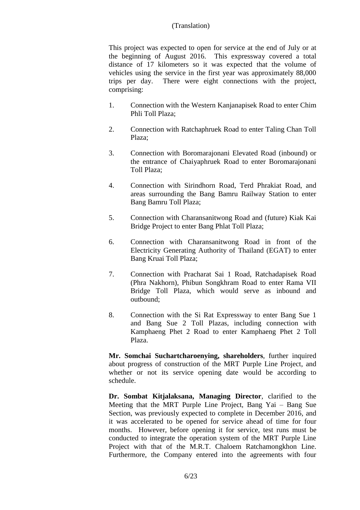This project was expected to open for service at the end of July or at the beginning of August 2016. This expressway covered a total distance of 17 kilometers so it was expected that the volume of vehicles using the service in the first year was approximately 88,000 trips per day. There were eight connections with the project, comprising:

- 1. Connection with the Western Kanjanapisek Road to enter Chim Phli Toll Plaza;
- 2. Connection with Ratchaphruek Road to enter Taling Chan Toll Plaza;
- 3. Connection with Boromarajonani Elevated Road (inbound) or the entrance of Chaiyaphruek Road to enter Boromarajonani Toll Plaza;
- 4. Connection with Sirindhorn Road, Terd Phrakiat Road, and areas surrounding the Bang Bamru Railway Station to enter Bang Bamru Toll Plaza;
- 5. Connection with Charansanitwong Road and (future) Kiak Kai Bridge Project to enter Bang Phlat Toll Plaza;
- 6. Connection with Charansanitwong Road in front of the Electricity Generating Authority of Thailand (EGAT) to enter Bang Kruai Toll Plaza;
- 7. Connection with Pracharat Sai 1 Road, Ratchadapisek Road (Phra Nakhorn), Phibun Songkhram Road to enter Rama VII Bridge Toll Plaza, which would serve as inbound and outbound;
- 8. Connection with the Si Rat Expressway to enter Bang Sue 1 and Bang Sue 2 Toll Plazas, including connection with Kamphaeng Phet 2 Road to enter Kamphaeng Phet 2 Toll Plaza.

**Mr. Somchai Suchartcharoenying, shareholders**, further inquired about progress of construction of the MRT Purple Line Project, and whether or not its service opening date would be according to schedule.

**Dr. Sombat Kitjalaksana, Managing Director**, clarified to the Meeting that the MRT Purple Line Project, Bang Yai – Bang Sue Section, was previously expected to complete in December 2016, and it was accelerated to be opened for service ahead of time for four months. However, before opening it for service, test runs must be conducted to integrate the operation system of the MRT Purple Line Project with that of the M.R.T. Chaloem Ratchamongkhon Line. Furthermore, the Company entered into the agreements with four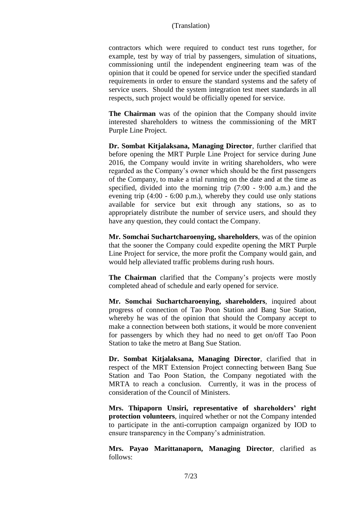contractors which were required to conduct test runs together, for example, test by way of trial by passengers, simulation of situations, commissioning until the independent engineering team was of the opinion that it could be opened for service under the specified standard requirements in order to ensure the standard systems and the safety of service users. Should the system integration test meet standards in all respects, such project would be officially opened for service.

**The Chairman** was of the opinion that the Company should invite interested shareholders to witness the commissioning of the MRT Purple Line Project.

**Dr. Sombat Kitjalaksana, Managing Director**, further clarified that before opening the MRT Purple Line Project for service during June 2016, the Company would invite in writing shareholders, who were regarded as the Company's owner which should be the first passengers of the Company, to make a trial running on the date and at the time as specified, divided into the morning trip (7:00 - 9:00 a.m.) and the evening trip (4:00 - 6:00 p.m.), whereby they could use only stations available for service but exit through any stations, so as to appropriately distribute the number of service users, and should they have any question, they could contact the Company.

**Mr. Somchai Suchartcharoenying, shareholders**, was of the opinion that the sooner the Company could expedite opening the MRT Purple Line Project for service, the more profit the Company would gain, and would help alleviated traffic problems during rush hours.

**The Chairman** clarified that the Company's projects were mostly completed ahead of schedule and early opened for service.

**Mr. Somchai Suchartcharoenying, shareholders**, inquired about progress of connection of Tao Poon Station and Bang Sue Station, whereby he was of the opinion that should the Company accept to make a connection between both stations, it would be more convenient for passengers by which they had no need to get on/off Tao Poon Station to take the metro at Bang Sue Station.

**Dr. Sombat Kitjalaksana, Managing Director**, clarified that in respect of the MRT Extension Project connecting between Bang Sue Station and Tao Poon Station, the Company negotiated with the MRTA to reach a conclusion. Currently, it was in the process of consideration of the Council of Ministers.

**Mrs. Thipaporn Unsiri, representative of shareholders' right protection volunteers**, inquired whether or not the Company intended to participate in the anti-corruption campaign organized by IOD to ensure transparency in the Company's administration.

**Mrs. Payao Marittanaporn, Managing Director**, clarified as follows: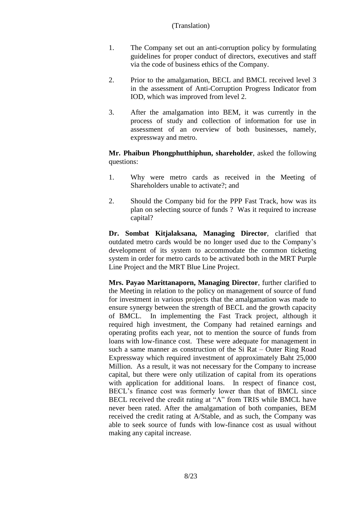- 1. The Company set out an anti-corruption policy by formulating guidelines for proper conduct of directors, executives and staff via the code of business ethics of the Company.
- 2. Prior to the amalgamation, BECL and BMCL received level 3 in the assessment of Anti-Corruption Progress Indicator from IOD, which was improved from level 2.
- 3. After the amalgamation into BEM, it was currently in the process of study and collection of information for use in assessment of an overview of both businesses, namely, expressway and metro.

**Mr. Phaibun Phongphutthiphun, shareholder**, asked the following questions:

- 1. Why were metro cards as received in the Meeting of Shareholders unable to activate?; and
- 2. Should the Company bid for the PPP Fast Track, how was its plan on selecting source of funds ? Was it required to increase capital?

**Dr. Sombat Kitjalaksana, Managing Director**, clarified that outdated metro cards would be no longer used due to the Company's development of its system to accommodate the common ticketing system in order for metro cards to be activated both in the MRT Purple Line Project and the MRT Blue Line Project.

**Mrs. Payao Marittanaporn, Managing Director**, further clarified to the Meeting in relation to the policy on management of source of fund for investment in various projects that the amalgamation was made to ensure synergy between the strength of BECL and the growth capacity of BMCL. In implementing the Fast Track project, although it required high investment, the Company had retained earnings and operating profits each year, not to mention the source of funds from loans with low-finance cost. These were adequate for management in such a same manner as construction of the Si Rat – Outer Ring Road Expressway which required investment of approximately Baht 25,000 Million. As a result, it was not necessary for the Company to increase capital, but there were only utilization of capital from its operations with application for additional loans. In respect of finance cost, BECL's finance cost was formerly lower than that of BMCL since BECL received the credit rating at "A" from TRIS while BMCL have never been rated. After the amalgamation of both companies, BEM received the credit rating at A/Stable, and as such, the Company was able to seek source of funds with low-finance cost as usual without making any capital increase.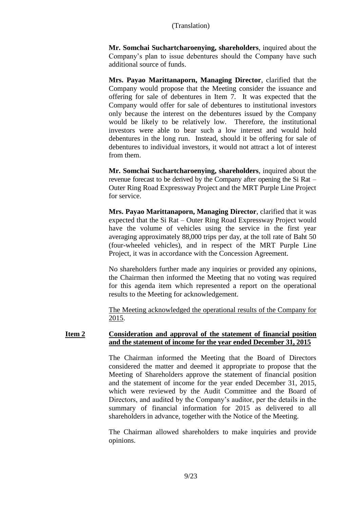**Mr. Somchai Suchartcharoenying, shareholders**, inquired about the Company's plan to issue debentures should the Company have such additional source of funds.

**Mrs. Payao Marittanaporn, Managing Director**, clarified that the Company would propose that the Meeting consider the issuance and offering for sale of debentures in Item 7. It was expected that the Company would offer for sale of debentures to institutional investors only because the interest on the debentures issued by the Company would be likely to be relatively low. Therefore, the institutional investors were able to bear such a low interest and would hold debentures in the long run. Instead, should it be offering for sale of debentures to individual investors, it would not attract a lot of interest from them.

**Mr. Somchai Suchartcharoenying, shareholders**, inquired about the revenue forecast to be derived by the Company after opening the Si Rat – Outer Ring Road Expressway Project and the MRT Purple Line Project for service.

**Mrs. Payao Marittanaporn, Managing Director**, clarified that it was expected that the Si Rat – Outer Ring Road Expressway Project would have the volume of vehicles using the service in the first year averaging approximately 88,000 trips per day, at the toll rate of Baht 50 (four-wheeled vehicles), and in respect of the MRT Purple Line Project, it was in accordance with the Concession Agreement.

No shareholders further made any inquiries or provided any opinions, the Chairman then informed the Meeting that no voting was required for this agenda item which represented a report on the operational results to the Meeting for acknowledgement.

The Meeting acknowledged the operational results of the Company for 2015.

## **Item 2 Consideration and approval of the statement of financial position and the statement of income for the year ended December 31, 2015**

The Chairman informed the Meeting that the Board of Directors considered the matter and deemed it appropriate to propose that the Meeting of Shareholders approve the statement of financial position and the statement of income for the year ended December 31, 2015, which were reviewed by the Audit Committee and the Board of Directors, and audited by the Company's auditor, per the details in the summary of financial information for 2015 as delivered to all shareholders in advance, together with the Notice of the Meeting.

The Chairman allowed shareholders to make inquiries and provide opinions.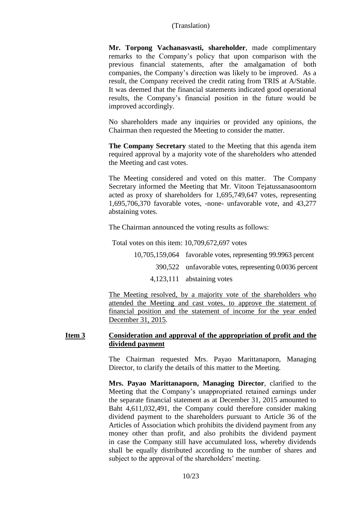**Mr. Torpong Vachanasvasti, shareholder**, made complimentary remarks to the Company's policy that upon comparison with the previous financial statements, after the amalgamation of both companies, the Company's direction was likely to be improved. As a result, the Company received the credit rating from TRIS at A/Stable. It was deemed that the financial statements indicated good operational results, the Company's financial position in the future would be improved accordingly.

No shareholders made any inquiries or provided any opinions, the Chairman then requested the Meeting to consider the matter.

**The Company Secretary** stated to the Meeting that this agenda item required approval by a majority vote of the shareholders who attended the Meeting and cast votes.

The Meeting considered and voted on this matter. The Company Secretary informed the Meeting that Mr. Vitoon Tejatussanasoontorn acted as proxy of shareholders for 1,695,749,647 votes, representing 1,695,706,370 favorable votes, -none- unfavorable vote, and 43,277 abstaining votes.

The Chairman announced the voting results as follows:

Total votes on this item: 10,709,672,697 votes

10,705,159,064 favorable votes, representing 99.9963 percent 390,522 unfavorable votes, representing 0.0036 percent 4,123,111 abstaining votes

The Meeting resolved, by a majority vote of the shareholders who attended the Meeting and cast votes, to approve the statement of financial position and the statement of income for the year ended December 31, 2015.

## **Item 3 Consideration and approval of the appropriation of profit and the dividend payment**

The Chairman requested Mrs. Payao Marittanaporn, Managing Director, to clarify the details of this matter to the Meeting.

**Mrs. Payao Marittanaporn, Managing Director**, clarified to the Meeting that the Company's unappropriated retained earnings under the separate financial statement as at December 31, 2015 amounted to Baht 4,611,032,491, the Company could therefore consider making dividend payment to the shareholders pursuant to Article 36 of the Articles of Association which prohibits the dividend payment from any money other than profit, and also prohibits the dividend payment in case the Company still have accumulated loss, whereby dividends shall be equally distributed according to the number of shares and subject to the approval of the shareholders' meeting.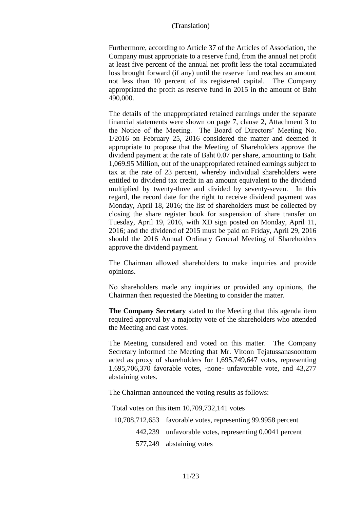Furthermore, according to Article 37 of the Articles of Association, the Company must appropriate to a reserve fund, from the annual net profit at least five percent of the annual net profit less the total accumulated loss brought forward (if any) until the reserve fund reaches an amount not less than 10 percent of its registered capital. The Company appropriated the profit as reserve fund in 2015 in the amount of Baht 490,000.

The details of the unappropriated retained earnings under the separate financial statements were shown on page 7, clause 2, Attachment 3 to the Notice of the Meeting. The Board of Directors' Meeting No. 1/2016 on February 25, 2016 considered the matter and deemed it appropriate to propose that the Meeting of Shareholders approve the dividend payment at the rate of Baht 0.07 per share, amounting to Baht 1,069.95 Million, out of the unappropriated retained earnings subject to tax at the rate of 23 percent, whereby individual shareholders were entitled to dividend tax credit in an amount equivalent to the dividend multiplied by twenty-three and divided by seventy-seven. In this regard, the record date for the right to receive dividend payment was Monday, April 18, 2016; the list of shareholders must be collected by closing the share register book for suspension of share transfer on Tuesday, April 19, 2016, with XD sign posted on Monday, April 11, 2016; and the dividend of 2015 must be paid on Friday, April 29, 2016 should the 2016 Annual Ordinary General Meeting of Shareholders approve the dividend payment.

The Chairman allowed shareholders to make inquiries and provide opinions.

No shareholders made any inquiries or provided any opinions, the Chairman then requested the Meeting to consider the matter.

**The Company Secretary** stated to the Meeting that this agenda item required approval by a majority vote of the shareholders who attended the Meeting and cast votes.

The Meeting considered and voted on this matter. The Company Secretary informed the Meeting that Mr. Vitoon Tejatussanasoontorn acted as proxy of shareholders for 1,695,749,647 votes, representing 1,695,706,370 favorable votes, -none- unfavorable vote, and 43,277 abstaining votes.

The Chairman announced the voting results as follows:

Total votes on this item 10,709,732,141 votes

- 10,708,712,653 favorable votes, representing 99.9958 percent
	- 442,239 unfavorable votes, representing 0.0041 percent
		- 577,249 abstaining votes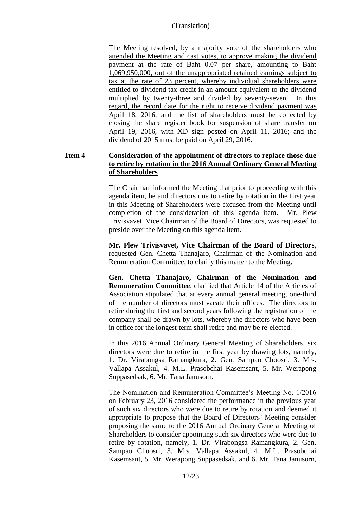The Meeting resolved, by a majority vote of the shareholders who attended the Meeting and cast votes, to approve making the dividend payment at the rate of Baht 0.07 per share, amounting to Baht 1,069,950,000, out of the unappropriated retained earnings subject to tax at the rate of 23 percent, whereby individual shareholders were entitled to dividend tax credit in an amount equivalent to the dividend multiplied by twenty-three and divided by seventy-seven. In this regard, the record date for the right to receive dividend payment was April 18, 2016; and the list of shareholders must be collected by closing the share register book for suspension of share transfer on April 19, 2016, with XD sign posted on April 11, 2016; and the dividend of 2015 must be paid on April 29, 2016.

## **Item 4 Consideration of the appointment of directors to replace those due to retire by rotation in the 2016 Annual Ordinary General Meeting of Shareholders**

The Chairman informed the Meeting that prior to proceeding with this agenda item, he and directors due to retire by rotation in the first year in this Meeting of Shareholders were excused from the Meeting until completion of the consideration of this agenda item. Mr. Plew Trivisvavet, Vice Chairman of the Board of Directors, was requested to preside over the Meeting on this agenda item.

**Mr. Plew Trivisvavet, Vice Chairman of the Board of Directors**, requested Gen. Chetta Thanajaro, Chairman of the Nomination and Remuneration Committee, to clarify this matter to the Meeting.

**Gen. Chetta Thanajaro, Chairman of the Nomination and Remuneration Committee**, clarified that Article 14 of the Articles of Association stipulated that at every annual general meeting, one-third of the number of directors must vacate their offices. The directors to retire during the first and second years following the registration of the company shall be drawn by lots, whereby the directors who have been in office for the longest term shall retire and may be re-elected.

In this 2016 Annual Ordinary General Meeting of Shareholders, six directors were due to retire in the first year by drawing lots, namely, 1. Dr. Virabongsa Ramangkura, 2. Gen. Sampao Choosri, 3. Mrs. Vallapa Assakul, 4. M.L. Prasobchai Kasemsant, 5. Mr. Werapong Suppasedsak, 6. Mr. Tana Janusorn.

The Nomination and Remuneration Committee's Meeting No. 1/2016 on February 23, 2016 considered the performance in the previous year of such six directors who were due to retire by rotation and deemed it appropriate to propose that the Board of Directors' Meeting consider proposing the same to the 2016 Annual Ordinary General Meeting of Shareholders to consider appointing such six directors who were due to retire by rotation, namely, 1. Dr. Virabongsa Ramangkura, 2. Gen. Sampao Choosri, 3. Mrs. Vallapa Assakul, 4. M.L. Prasobchai Kasemsant, 5. Mr. Werapong Suppasedsak, and 6. Mr. Tana Janusorn,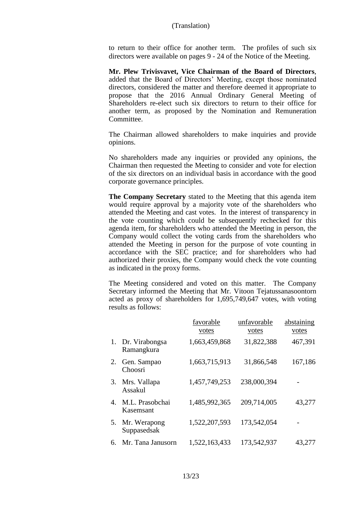to return to their office for another term. The profiles of such six directors were available on pages 9 - 24 of the Notice of the Meeting.

**Mr. Plew Trivisvavet, Vice Chairman of the Board of Directors**, added that the Board of Directors' Meeting, except those nominated directors, considered the matter and therefore deemed it appropriate to propose that the 2016 Annual Ordinary General Meeting of Shareholders re-elect such six directors to return to their office for another term, as proposed by the Nomination and Remuneration Committee.

The Chairman allowed shareholders to make inquiries and provide opinions.

No shareholders made any inquiries or provided any opinions, the Chairman then requested the Meeting to consider and vote for election of the six directors on an individual basis in accordance with the good corporate governance principles.

**The Company Secretary** stated to the Meeting that this agenda item would require approval by a majority vote of the shareholders who attended the Meeting and cast votes. In the interest of transparency in the vote counting which could be subsequently rechecked for this agenda item, for shareholders who attended the Meeting in person, the Company would collect the voting cards from the shareholders who attended the Meeting in person for the purpose of vote counting in accordance with the SEC practice; and for shareholders who had authorized their proxies, the Company would check the vote counting as indicated in the proxy forms.

The Meeting considered and voted on this matter. The Company Secretary informed the Meeting that Mr. Vitoon Tejatussanasoontorn acted as proxy of shareholders for 1,695,749,647 votes, with voting results as follows:

|    |                              | favorable<br>votes | unfavorable<br>votes | abstaining<br>votes |
|----|------------------------------|--------------------|----------------------|---------------------|
| 1. | Dr. Virabongsa<br>Ramangkura | 1,663,459,868      | 31,822,388           | 467,391             |
| 2. | Gen. Sampao<br>Choosri       | 1,663,715,913      | 31,866,548           | 167,186             |
| 3. | Mrs. Vallapa<br>Assakul      | 1,457,749,253      | 238,000,394          |                     |
| 4. | M.L. Prasobchai<br>Kasemsant | 1,485,992,365      | 209,714,005          | 43,277              |
| 5. | Mr. Werapong<br>Suppasedsak  | 1,522,207,593      | 173,542,054          |                     |
| 6. | Mr. Tana Janusorn            | 1,522,163,433      | 173,542,937          | 43,277              |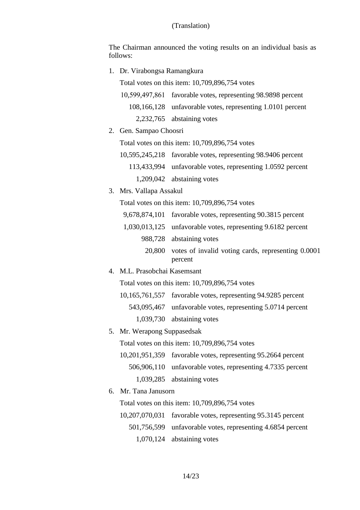The Chairman announced the voting results on an individual basis as follows:

1. Dr. Virabongsa Ramangkura

Total votes on this item: 10,709,896,754 votes

| 10,599,497,861 favorable votes, representing 98.9898 percent |
|--------------------------------------------------------------|
| 108,166,128 unfavorable votes, representing 1.0101 percent   |
| 2,232,765 abstaining votes                                   |

2. Gen. Sampao Choosri

Total votes on this item: 10,709,896,754 votes

- 10,595,245,218 favorable votes, representing 98.9406 percent 113,433,994 unfavorable votes, representing 1.0592 percent 1,209,042 abstaining votes
- 3. Mrs. Vallapa Assakul

Total votes on this item: 10,709,896,754 votes

- 9,678,874,101 favorable votes, representing 90.3815 percent
- 1,030,013,125 unfavorable votes, representing 9.6182 percent 988,728 abstaining votes
	- 20,800 votes of invalid voting cards, representing 0.0001 percent
- 4. M.L. Prasobchai Kasemsant

Total votes on this item: 10,709,896,754 votes

10,165,761,557 favorable votes, representing 94.9285 percent

543,095,467 unfavorable votes, representing 5.0714 percent

- 1,039,730 abstaining votes
- 5. Mr. Werapong Suppasedsak

Total votes on this item: 10,709,896,754 votes

- 10,201,951,359 favorable votes, representing 95.2664 percent 506,906,110 unfavorable votes, representing 4.7335 percent 1,039,285 abstaining votes
- 6. Mr. Tana Janusorn

Total votes on this item: 10,709,896,754 votes

10,207,070,031 favorable votes, representing 95.3145 percent 501,756,599 unfavorable votes, representing 4.6854 percent 1,070,124 abstaining votes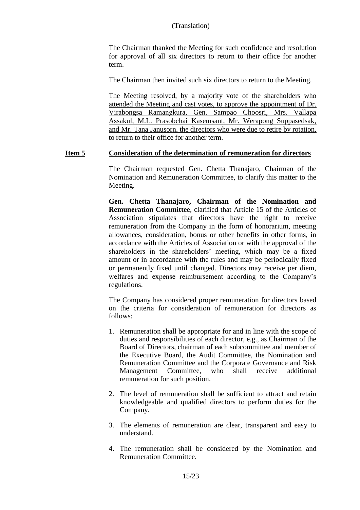The Chairman thanked the Meeting for such confidence and resolution for approval of all six directors to return to their office for another term.

The Chairman then invited such six directors to return to the Meeting.

The Meeting resolved, by a majority vote of the shareholders who attended the Meeting and cast votes, to approve the appointment of Dr. Virabongsa Ramangkura, Gen. Sampao Choosri, Mrs. Vallapa Assakul, M.L. Prasobchai Kasemsant, Mr. Werapong Suppasedsak, and Mr. Tana Janusorn, the directors who were due to retire by rotation, to return to their office for another term.

#### **Item 5 Consideration of the determination of remuneration for directors**

The Chairman requested Gen. Chetta Thanajaro, Chairman of the Nomination and Remuneration Committee, to clarify this matter to the Meeting.

**Gen. Chetta Thanajaro, Chairman of the Nomination and Remuneration Committee**, clarified that Article 15 of the Articles of Association stipulates that directors have the right to receive remuneration from the Company in the form of honorarium, meeting allowances, consideration, bonus or other benefits in other forms, in accordance with the Articles of Association or with the approval of the shareholders in the shareholders' meeting, which may be a fixed amount or in accordance with the rules and may be periodically fixed or permanently fixed until changed. Directors may receive per diem, welfares and expense reimbursement according to the Company's regulations.

The Company has considered proper remuneration for directors based on the criteria for consideration of remuneration for directors as follows:

- 1. Remuneration shall be appropriate for and in line with the scope of duties and responsibilities of each director, e.g., as Chairman of the Board of Directors, chairman of each subcommittee and member of the Executive Board, the Audit Committee, the Nomination and Remuneration Committee and the Corporate Governance and Risk Management Committee, who shall receive additional remuneration for such position.
- 2. The level of remuneration shall be sufficient to attract and retain knowledgeable and qualified directors to perform duties for the Company.
- 3. The elements of remuneration are clear, transparent and easy to understand.
- 4. The remuneration shall be considered by the Nomination and Remuneration Committee.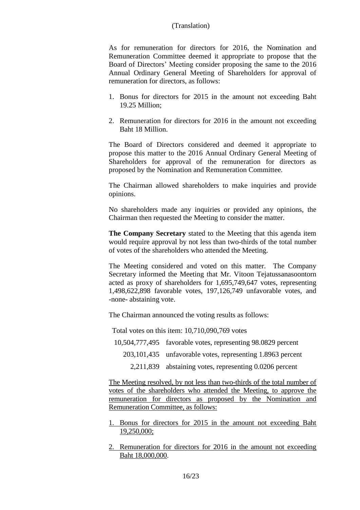As for remuneration for directors for 2016, the Nomination and Remuneration Committee deemed it appropriate to propose that the Board of Directors' Meeting consider proposing the same to the 2016 Annual Ordinary General Meeting of Shareholders for approval of remuneration for directors, as follows:

- 1. Bonus for directors for 2015 in the amount not exceeding Baht 19.25 Million;
- 2. Remuneration for directors for 2016 in the amount not exceeding Baht 18 Million.

The Board of Directors considered and deemed it appropriate to propose this matter to the 2016 Annual Ordinary General Meeting of Shareholders for approval of the remuneration for directors as proposed by the Nomination and Remuneration Committee.

The Chairman allowed shareholders to make inquiries and provide opinions.

No shareholders made any inquiries or provided any opinions, the Chairman then requested the Meeting to consider the matter.

**The Company Secretary** stated to the Meeting that this agenda item would require approval by not less than two-thirds of the total number of votes of the shareholders who attended the Meeting.

The Meeting considered and voted on this matter. The Company Secretary informed the Meeting that Mr. Vitoon Tejatussanasoontorn acted as proxy of shareholders for 1,695,749,647 votes, representing 1,498,622,898 favorable votes, 197,126,749 unfavorable votes, and -none- abstaining vote.

The Chairman announced the voting results as follows:

Total votes on this item: 10,710,090,769 votes

- 10,504,777,495 favorable votes, representing 98.0829 percent
	- 203,101,435 unfavorable votes, representing 1.8963 percent
		- 2,211,839 abstaining votes, representing 0.0206 percent

The Meeting resolved, by not less than two-thirds of the total number of votes of the shareholders who attended the Meeting, to approve the remuneration for directors as proposed by the Nomination and Remuneration Committee, as follows:

- 1. Bonus for directors for 2015 in the amount not exceeding Baht 19,250,000;
- 2. Remuneration for directors for 2016 in the amount not exceeding Baht 18,000,000.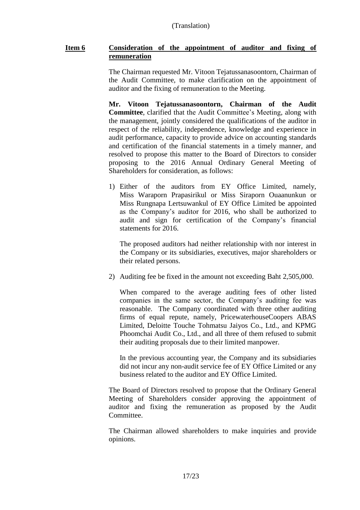## **Item 6 Consideration of the appointment of auditor and fixing of remuneration**

The Chairman requested Mr. Vitoon Tejatussanasoontorn, Chairman of the Audit Committee, to make clarification on the appointment of auditor and the fixing of remuneration to the Meeting.

**Mr. Vitoon Tejatussanasoontorn, Chairman of the Audit Committee**, clarified that the Audit Committee's Meeting, along with the management, jointly considered the qualifications of the auditor in respect of the reliability, independence, knowledge and experience in audit performance, capacity to provide advice on accounting standards and certification of the financial statements in a timely manner, and resolved to propose this matter to the Board of Directors to consider proposing to the 2016 Annual Ordinary General Meeting of Shareholders for consideration, as follows:

1) Either of the auditors from EY Office Limited, namely, Miss Waraporn Prapasirikul or Miss Siraporn Ouaanunkun or Miss Rungnapa Lertsuwankul of EY Office Limited be appointed as the Company's auditor for 2016, who shall be authorized to audit and sign for certification of the Company's financial statements for 2016.

The proposed auditors had neither relationship with nor interest in the Company or its subsidiaries, executives, major shareholders or their related persons.

2) Auditing fee be fixed in the amount not exceeding Baht 2,505,000.

When compared to the average auditing fees of other listed companies in the same sector, the Company's auditing fee was reasonable. The Company coordinated with three other auditing firms of equal repute, namely, PricewaterhouseCoopers ABAS Limited, Deloitte Touche Tohmatsu Jaiyos Co., Ltd., and KPMG Phoomchai Audit Co., Ltd., and all three of them refused to submit their auditing proposals due to their limited manpower.

In the previous accounting year, the Company and its subsidiaries did not incur any non-audit service fee of EY Office Limited or any business related to the auditor and EY Office Limited.

The Board of Directors resolved to propose that the Ordinary General Meeting of Shareholders consider approving the appointment of auditor and fixing the remuneration as proposed by the Audit Committee.

The Chairman allowed shareholders to make inquiries and provide opinions.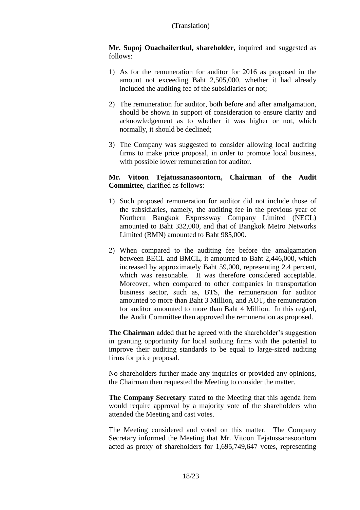**Mr. Supoj Ouachailertkul, shareholder**, inquired and suggested as follows:

- 1) As for the remuneration for auditor for 2016 as proposed in the amount not exceeding Baht 2,505,000, whether it had already included the auditing fee of the subsidiaries or not;
- 2) The remuneration for auditor, both before and after amalgamation, should be shown in support of consideration to ensure clarity and acknowledgement as to whether it was higher or not, which normally, it should be declined;
- 3) The Company was suggested to consider allowing local auditing firms to make price proposal, in order to promote local business, with possible lower remuneration for auditor.

## **Mr. Vitoon Tejatussanasoontorn, Chairman of the Audit Committee**, clarified as follows:

- 1) Such proposed remuneration for auditor did not include those of the subsidiaries, namely, the auditing fee in the previous year of Northern Bangkok Expressway Company Limited (NECL) amounted to Baht 332,000, and that of Bangkok Metro Networks Limited (BMN) amounted to Baht 985,000.
- 2) When compared to the auditing fee before the amalgamation between BECL and BMCL, it amounted to Baht 2,446,000, which increased by approximately Baht 59,000, representing 2.4 percent, which was reasonable. It was therefore considered acceptable. Moreover, when compared to other companies in transportation business sector, such as, BTS, the remuneration for auditor amounted to more than Baht 3 Million, and AOT, the remuneration for auditor amounted to more than Baht 4 Million. In this regard, the Audit Committee then approved the remuneration as proposed.

**The Chairman** added that he agreed with the shareholder's suggestion in granting opportunity for local auditing firms with the potential to improve their auditing standards to be equal to large-sized auditing firms for price proposal.

No shareholders further made any inquiries or provided any opinions, the Chairman then requested the Meeting to consider the matter.

**The Company Secretary** stated to the Meeting that this agenda item would require approval by a majority vote of the shareholders who attended the Meeting and cast votes.

The Meeting considered and voted on this matter. The Company Secretary informed the Meeting that Mr. Vitoon Tejatussanasoontorn acted as proxy of shareholders for 1,695,749,647 votes, representing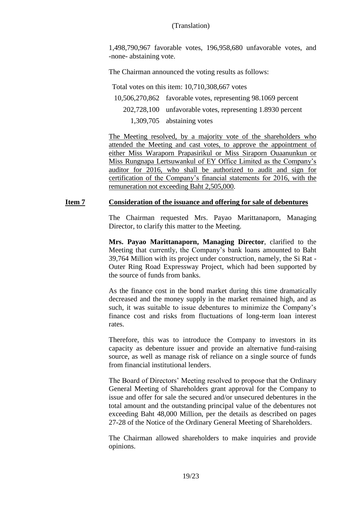1,498,790,967 favorable votes, 196,958,680 unfavorable votes, and -none- abstaining vote.

The Chairman announced the voting results as follows:

Total votes on this item: 10,710,308,667 votes

- 10,506,270,862 favorable votes, representing 98.1069 percent 202,728,100 unfavorable votes, representing 1.8930 percent
	- 1,309,705 abstaining votes

The Meeting resolved, by a majority vote of the shareholders who attended the Meeting and cast votes, to approve the appointment of either Miss Waraporn Prapasirikul or Miss Siraporn Ouaanunkun or Miss Rungnapa Lertsuwankul of EY Office Limited as the Company's auditor for 2016, who shall be authorized to audit and sign for certification of the Company's financial statements for 2016, with the remuneration not exceeding Baht 2,505,000.

## **Item 7 Consideration of the issuance and offering for sale of debentures**

The Chairman requested Mrs. Payao Marittanaporn, Managing Director, to clarify this matter to the Meeting.

**Mrs. Payao Marittanaporn, Managing Director**, clarified to the Meeting that currently, the Company's bank loans amounted to Baht 39,764 Million with its project under construction, namely, the Si Rat - Outer Ring Road Expressway Project, which had been supported by the source of funds from banks.

As the finance cost in the bond market during this time dramatically decreased and the money supply in the market remained high, and as such, it was suitable to issue debentures to minimize the Company's finance cost and risks from fluctuations of long-term loan interest rates.

Therefore, this was to introduce the Company to investors in its capacity as debenture issuer and provide an alternative fund-raising source, as well as manage risk of reliance on a single source of funds from financial institutional lenders.

The Board of Directors' Meeting resolved to propose that the Ordinary General Meeting of Shareholders grant approval for the Company to issue and offer for sale the secured and/or unsecured debentures in the total amount and the outstanding principal value of the debentures not exceeding Baht 48,000 Million, per the details as described on pages 27-28 of the Notice of the Ordinary General Meeting of Shareholders.

The Chairman allowed shareholders to make inquiries and provide opinions.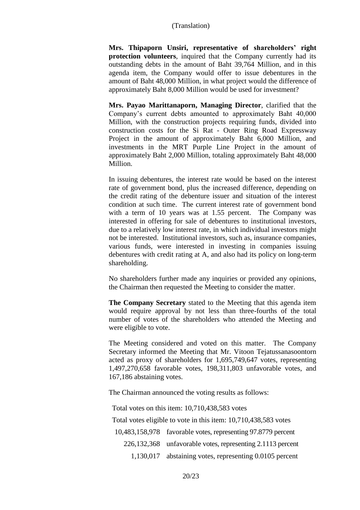**Mrs. Thipaporn Unsiri, representative of shareholders' right protection volunteers**, inquired that the Company currently had its outstanding debts in the amount of Baht 39,764 Million, and in this agenda item, the Company would offer to issue debentures in the amount of Baht 48,000 Million, in what project would the difference of approximately Baht 8,000 Million would be used for investment?

**Mrs. Payao Marittanaporn, Managing Director**, clarified that the Company's current debts amounted to approximately Baht 40,000 Million, with the construction projects requiring funds, divided into construction costs for the Si Rat - Outer Ring Road Expressway Project in the amount of approximately Baht 6,000 Million, and investments in the MRT Purple Line Project in the amount of approximately Baht 2,000 Million, totaling approximately Baht 48,000 Million.

In issuing debentures, the interest rate would be based on the interest rate of government bond, plus the increased difference, depending on the credit rating of the debenture issuer and situation of the interest condition at such time. The current interest rate of government bond with a term of 10 years was at 1.55 percent. The Company was interested in offering for sale of debentures to institutional investors, due to a relatively low interest rate, in which individual investors might not be interested. Institutional investors, such as, insurance companies, various funds, were interested in investing in companies issuing debentures with credit rating at A, and also had its policy on long-term shareholding.

No shareholders further made any inquiries or provided any opinions, the Chairman then requested the Meeting to consider the matter.

**The Company Secretary** stated to the Meeting that this agenda item would require approval by not less than three-fourths of the total number of votes of the shareholders who attended the Meeting and were eligible to vote.

The Meeting considered and voted on this matter. The Company Secretary informed the Meeting that Mr. Vitoon Tejatussanasoontorn acted as proxy of shareholders for 1,695,749,647 votes, representing 1,497,270,658 favorable votes, 198,311,803 unfavorable votes, and 167,186 abstaining votes.

The Chairman announced the voting results as follows:

Total votes on this item: 10,710,438,583 votes

Total votes eligible to vote in this item: 10,710,438,583 votes

10,483,158,978 favorable votes, representing 97.8779 percent

226,132,368 unfavorable votes, representing 2.1113 percent

1,130,017 abstaining votes, representing 0.0105 percent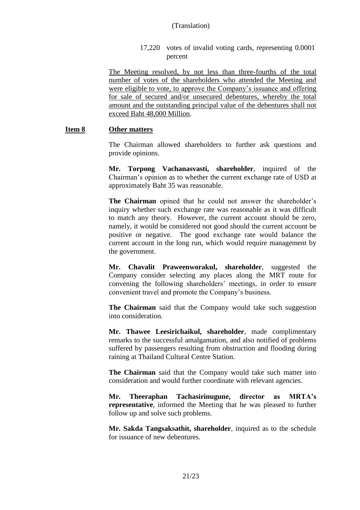17,220 votes of invalid voting cards, representing 0.0001 percent

The Meeting resolved, by not less than three-fourths of the total number of votes of the shareholders who attended the Meeting and were eligible to vote, to approve the Company's issuance and offering for sale of secured and/or unsecured debentures, whereby the total amount and the outstanding principal value of the debentures shall not exceed Baht 48,000 Million.

#### **Item 8 Other matters**

The Chairman allowed shareholders to further ask questions and provide opinions.

**Mr. Torpong Vachanasvasti, shareholder**, inquired of the Chairman's opinion as to whether the current exchange rate of USD at approximately Baht 35 was reasonable.

**The Chairman** opined that he could not answer the shareholder's inquiry whether such exchange rate was reasonable as it was difficult to match any theory. However, the current account should be zero, namely, it would be considered not good should the current account be positive or negative. The good exchange rate would balance the current account in the long run, which would require management by the government.

**Mr. Chavalit Praweenworakul, shareholder**, suggested the Company consider selecting any places along the MRT route for convening the following shareholders' meetings, in order to ensure convenient travel and promote the Company's business.

**The Chairman** said that the Company would take such suggestion into consideration.

**Mr. Thawee Leesirichaikul, shareholder**, made complimentary remarks to the successful amalgamation, and also notified of problems suffered by passengers resulting from obstruction and flooding during raining at Thailand Cultural Centre Station.

**The Chairman** said that the Company would take such matter into consideration and would further coordinate with relevant agencies.

**Mr. Theeraphan Tachasirinugune, director as MRTA's representative**, informed the Meeting that he was pleased to further follow up and solve such problems.

**Mr. Sakda Tangsaksathit, shareholder**, inquired as to the schedule for issuance of new debentures.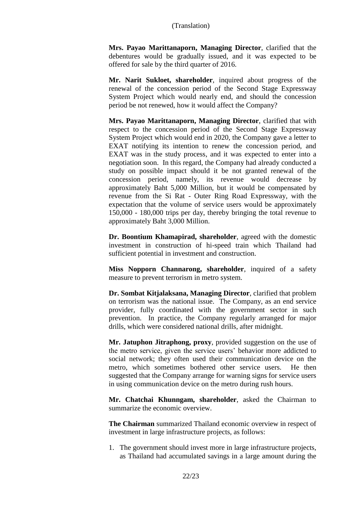**Mrs. Payao Marittanaporn, Managing Director**, clarified that the debentures would be gradually issued, and it was expected to be offered for sale by the third quarter of 2016.

**Mr. Narit Sukloet, shareholder**, inquired about progress of the renewal of the concession period of the Second Stage Expressway System Project which would nearly end, and should the concession period be not renewed, how it would affect the Company?

**Mrs. Payao Marittanaporn, Managing Director**, clarified that with respect to the concession period of the Second Stage Expressway System Project which would end in 2020, the Company gave a letter to EXAT notifying its intention to renew the concession period, and EXAT was in the study process, and it was expected to enter into a negotiation soon. In this regard, the Company had already conducted a study on possible impact should it be not granted renewal of the concession period, namely, its revenue would decrease by approximately Baht 5,000 Million, but it would be compensated by revenue from the Si Rat - Outer Ring Road Expressway, with the expectation that the volume of service users would be approximately 150,000 - 180,000 trips per day, thereby bringing the total revenue to approximately Baht 3,000 Million.

**Dr. Boontium Khamapirad, shareholder**, agreed with the domestic investment in construction of hi-speed train which Thailand had sufficient potential in investment and construction.

**Miss Nopporn Channarong, shareholder**, inquired of a safety measure to prevent terrorism in metro system.

**Dr. Sombat Kitjalaksana, Managing Director**, clarified that problem on terrorism was the national issue. The Company, as an end service provider, fully coordinated with the government sector in such prevention. In practice, the Company regularly arranged for major drills, which were considered national drills, after midnight.

**Mr. Jatuphon Jitraphong, proxy**, provided suggestion on the use of the metro service, given the service users' behavior more addicted to social network; they often used their communication device on the metro, which sometimes bothered other service users. He then suggested that the Company arrange for warning signs for service users in using communication device on the metro during rush hours.

**Mr. Chatchai Khunngam, shareholder**, asked the Chairman to summarize the economic overview.

**The Chairman** summarized Thailand economic overview in respect of investment in large infrastructure projects, as follows:

1. The government should invest more in large infrastructure projects, as Thailand had accumulated savings in a large amount during the